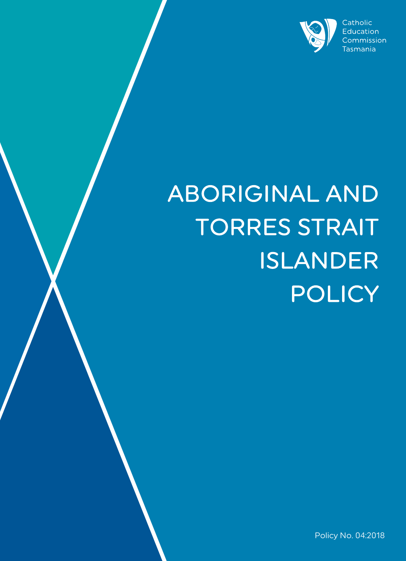

# ABORIGINAL AND TORRES STRAIT ISLANDER POLICY

Policy No. 04:2018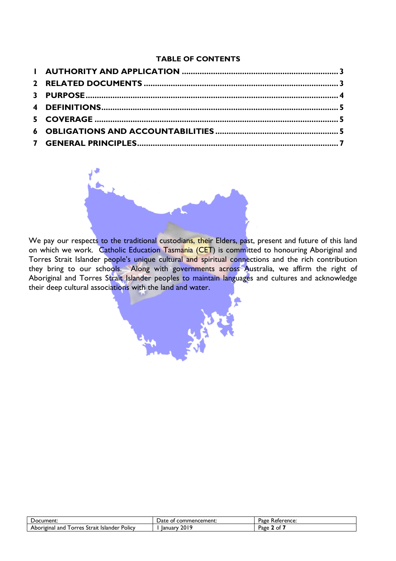#### **TABLE OF CONTENTS**



We pay our respects to the traditional custodians, their Elders, past, present and future of this land on which we work. Catholic Education Tasmania (CET) is committed to honouring Aboriginal and Torres Strait Islander people's unique cultural and spiritual connections and the rich contribution they bring to our schools. Along with governments across Australia, we affirm the right of Aboriginal and Torres Strait Islander peoples to maintain languages and cultures and acknowledge their deep cultural associations with the land and water.

| 'Jocument:                                                        | ' ≀at∈<br>nencement:<br>nr<br>Юľ<br>. <i>.</i> | Page<br>Reference:      |
|-------------------------------------------------------------------|------------------------------------------------|-------------------------|
| .<br>Policy<br>Aboriginal<br>Strait<br>I orres<br>Islander<br>and | 2010<br>lanuary<br>ZU LI                       | Page<br>~<br><u>. .</u> |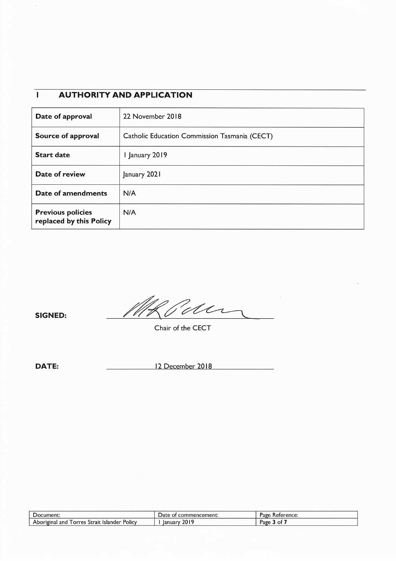#### $\overline{1}$ **AUTHORITY AND APPLICATION**

| Date of approval                                    | 22 November 2018                              |
|-----------------------------------------------------|-----------------------------------------------|
| Source of approval                                  | Catholic Education Commission Tasmania (CECT) |
| <b>Start date</b>                                   | 1 January 2019                                |
| Date of review                                      | January 2021                                  |
| Date of amendments                                  | N/A                                           |
| <b>Previous policies</b><br>replaced by this Policy | N/A                                           |

**SIGNED:** 

Elder  $\frac{1}{\sqrt{2}}$ 

Chair of the CECT

**DATE:** 

12 December 2018

| Document:                                                                  | Date<br>commencement:<br>ΩT | Keterence:<br>Page |
|----------------------------------------------------------------------------|-----------------------------|--------------------|
| <b>Policy</b><br>Aboriginal<br><b>Islander</b><br>Strait<br>and<br>l orres | 2019<br>lanuary             | Page<br>ΩŤ         |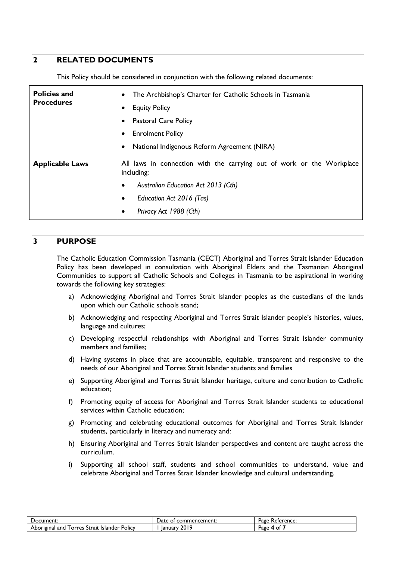# **2 RELATED DOCUMENTS**

This Policy should be considered in conjunction with the following related documents:

| <b>Policies and</b><br>The Archbishop's Charter for Catholic Schools in Tasmania<br><b>Procedures</b><br><b>Equity Policy</b><br><b>Pastoral Care Policy</b><br><b>Enrolment Policy</b><br>National Indigenous Reform Agreement (NIRA) |                                                                                                                                                                                  |
|----------------------------------------------------------------------------------------------------------------------------------------------------------------------------------------------------------------------------------------|----------------------------------------------------------------------------------------------------------------------------------------------------------------------------------|
| <b>Applicable Laws</b>                                                                                                                                                                                                                 | All laws in connection with the carrying out of work or the Workplace<br>including:<br>Australian Education Act 2013 (Cth)<br>Education Act 2016 (Tas)<br>Privacy Act 1988 (Cth) |

### **3 PURPOSE**

The Catholic Education Commission Tasmania (CECT) Aboriginal and Torres Strait Islander Education Policy has been developed in consultation with Aboriginal Elders and the Tasmanian Aboriginal Communities to support all Catholic Schools and Colleges in Tasmania to be aspirational in working towards the following key strategies:

- a) Acknowledging Aboriginal and Torres Strait Islander peoples as the custodians of the lands upon which our Catholic schools stand;
- b) Acknowledging and respecting Aboriginal and Torres Strait Islander people's histories, values, language and cultures;
- c) Developing respectful relationships with Aboriginal and Torres Strait Islander community members and families;
- d) Having systems in place that are accountable, equitable, transparent and responsive to the needs of our Aboriginal and Torres Strait Islander students and families
- e) Supporting Aboriginal and Torres Strait Islander heritage, culture and contribution to Catholic education;
- f) Promoting equity of access for Aboriginal and Torres Strait Islander students to educational services within Catholic education;
- g) Promoting and celebrating educational outcomes for Aboriginal and Torres Strait Islander students, particularly in literacy and numeracy and:
- h) Ensuring Aboriginal and Torres Strait Islander perspectives and content are taught across the curriculum.
- i) Supporting all school staff, students and school communities to understand, value and celebrate Aboriginal and Torres Strait Islander knowledge and cultural understanding.

| Document:                                                         | mmencement:<br>'Jate<br>cor<br>Οt | Page<br>Reference: |
|-------------------------------------------------------------------|-----------------------------------|--------------------|
| Aboriginal<br><b>POIICY</b><br>Strait<br>ano<br>orres<br>Islander | 2019<br>lanuary                   | Page<br>ΩÎ         |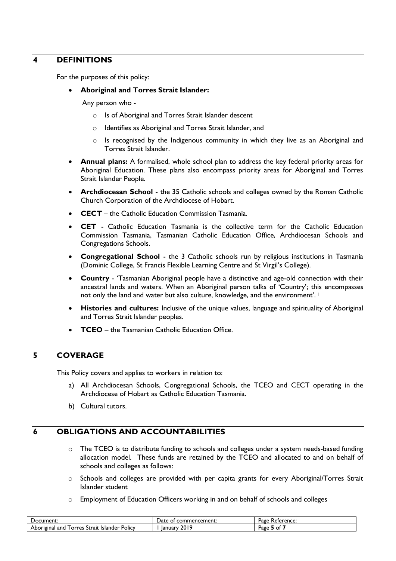#### **4 DEFINITIONS**

For the purposes of this policy:

#### • **Aboriginal and Torres Strait Islander:**

Any person who -

- o Is of Aboriginal and Torres Strait Islander descent
- o Identifies as Aboriginal and Torres Strait Islander, and
- o Is recognised by the Indigenous community in which they live as an Aboriginal and Torres Strait Islander.
- **Annual plans:** A formalised, whole school plan to address the key federal priority areas for Aboriginal Education. These plans also encompass priority areas for Aboriginal and Torres Strait Islander People.
- **Archdiocesan School**  the 35 Catholic schools and colleges owned by the Roman Catholic Church Corporation of the Archdiocese of Hobart.
- **CECT** the Catholic Education Commission Tasmania.
- **CET**  Catholic Education Tasmania is the collective term for the Catholic Education Commission Tasmania, Tasmanian Catholic Education Office, Archdiocesan Schools and Congregations Schools.
- **Congregational School**  the 3 Catholic schools run by religious institutions in Tasmania (Dominic College, St Francis Flexible Learning Centre and St Virgil's College).
- **Country** 'Tasmanian Aboriginal people have a distinctive and age-old connection with their ancestral lands and waters. When an Aboriginal person talks of 'Country'; this encompasses not only the land and water but also culture, knowledge, and the environment'. <sup>1</sup>
- **Histories and cultures:** Inclusive of the unique values, language and spirituality of Aboriginal and Torres Strait Islander peoples.
- **TCEO** the Tasmanian Catholic Education Office.

# **5 COVERAGE**

This Policy covers and applies to workers in relation to:

- a) All Archdiocesan Schools, Congregational Schools, the TCEO and CECT operating in the Archdiocese of Hobart as Catholic Education Tasmania.
- b) Cultural tutors.

## **6 OBLIGATIONS AND ACCOUNTABILITIES**

- o The TCEO is to distribute funding to schools and colleges under a system needs-based funding allocation model. These funds are retained by the TCEO and allocated to and on behalf of schools and colleges as follows:
- $\circ$  Schools and colleges are provided with per capita grants for every Aboriginal/Torres Strait Islander student
- o Employment of Education Officers working in and on behalf of schools and colleges

| Document:                                                         | nencement:<br>Date<br>:omr<br>OТ | Page<br><b>Reference:</b> |
|-------------------------------------------------------------------|----------------------------------|---------------------------|
| Aboriginal<br><b>POICY</b><br>-Islander<br>Strait<br>and<br>orres | 2019<br>lanuary                  | Page<br>0t                |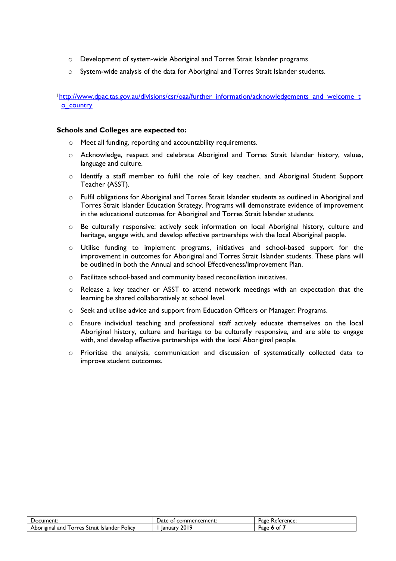- o Development of system-wide Aboriginal and Torres Strait Islander programs
- o System-wide analysis of the data for Aboriginal and Torres Strait Islander students.

<sup>1</sup>http://www.dpac.tas.gov.au/divisions/csr/oaa/further\_information/acknowledgements\_and\_welcome\_t o\_country

#### **Schools and Colleges are expected to:**

- o Meet all funding, reporting and accountability requirements.
- o Acknowledge, respect and celebrate Aboriginal and Torres Strait Islander history, values, language and culture.
- o Identify a staff member to fulfil the role of key teacher, and Aboriginal Student Support Teacher (ASST).
- $\circ$  Fulfil obligations for Aboriginal and Torres Strait Islander students as outlined in Aboriginal and Torres Strait Islander Education Strategy. Programs will demonstrate evidence of improvement in the educational outcomes for Aboriginal and Torres Strait Islander students.
- o Be culturally responsive: actively seek information on local Aboriginal history, culture and heritage, engage with, and develop effective partnerships with the local Aboriginal people.
- $\circ$  Utilise funding to implement programs, initiatives and school-based support for the improvement in outcomes for Aboriginal and Torres Strait Islander students. These plans will be outlined in both the Annual and school Effectiveness/Improvement Plan.
- o Facilitate school-based and community based reconciliation initiatives.
- $\circ$  Release a key teacher or ASST to attend network meetings with an expectation that the learning be shared collaboratively at school level.
- o Seek and utilise advice and support from Education Officers or Manager: Programs.
- o Ensure individual teaching and professional staff actively educate themselves on the local Aboriginal history, culture and heritage to be culturally responsive, and are able to engage with, and develop effective partnerships with the local Aboriginal people.
- o Prioritise the analysis, communication and discussion of systematically collected data to improve student outcomes.

| `ument:                                                    | . Jate<br>าmencement:<br>cor<br>nr<br>$\mathbf{u}$ | Page<br>Reference: |
|------------------------------------------------------------|----------------------------------------------------|--------------------|
| Policy<br>Strait<br>anc<br>Islander<br>Aboriginal<br>orres | 2019<br>lanuary                                    | age<br>ΩŤ          |